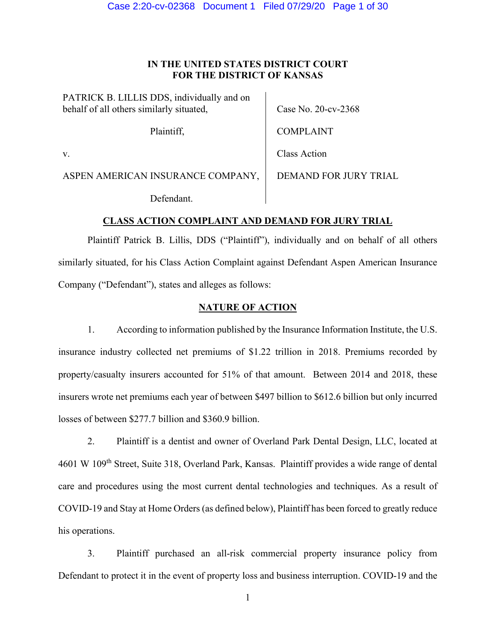# **IN THE UNITED STATES DISTRICT COURT FOR THE DISTRICT OF KANSAS**

PATRICK B. LILLIS DDS, individually and on behalf of all others similarly situated,

Plaintiff,

Case No. 20-cv-2368

COMPLAINT

v.

Class Action

ASPEN AMERICAN INSURANCE COMPANY,

Defendant.

DEMAND FOR JURY TRIAL

# **CLASS ACTION COMPLAINT AND DEMAND FOR JURY TRIAL**

Plaintiff Patrick B. Lillis, DDS ("Plaintiff"), individually and on behalf of all others similarly situated, for his Class Action Complaint against Defendant Aspen American Insurance Company ("Defendant"), states and alleges as follows:

# **NATURE OF ACTION**

1. According to information published by the Insurance Information Institute, the U.S. insurance industry collected net premiums of \$1.22 trillion in 2018. Premiums recorded by property/casualty insurers accounted for 51% of that amount. Between 2014 and 2018, these insurers wrote net premiums each year of between \$497 billion to \$612.6 billion but only incurred losses of between \$277.7 billion and \$360.9 billion.

2. Plaintiff is a dentist and owner of Overland Park Dental Design, LLC, located at 4601 W 109<sup>th</sup> Street, Suite 318, Overland Park, Kansas. Plaintiff provides a wide range of dental care and procedures using the most current dental technologies and techniques. As a result of COVID-19 and Stay at Home Orders (as defined below), Plaintiff has been forced to greatly reduce his operations.

3. Plaintiff purchased an all-risk commercial property insurance policy from Defendant to protect it in the event of property loss and business interruption. COVID-19 and the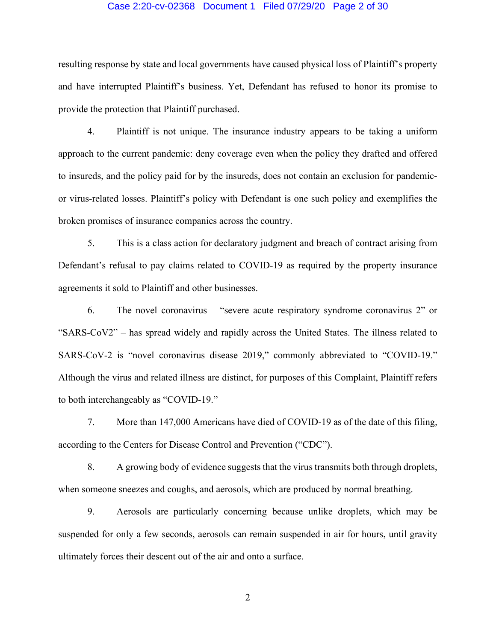#### Case 2:20-cv-02368 Document 1 Filed 07/29/20 Page 2 of 30

resulting response by state and local governments have caused physical loss of Plaintiff's property and have interrupted Plaintiff's business. Yet, Defendant has refused to honor its promise to provide the protection that Plaintiff purchased.

4. Plaintiff is not unique. The insurance industry appears to be taking a uniform approach to the current pandemic: deny coverage even when the policy they drafted and offered to insureds, and the policy paid for by the insureds, does not contain an exclusion for pandemicor virus-related losses. Plaintiff's policy with Defendant is one such policy and exemplifies the broken promises of insurance companies across the country.

5. This is a class action for declaratory judgment and breach of contract arising from Defendant's refusal to pay claims related to COVID-19 as required by the property insurance agreements it sold to Plaintiff and other businesses.

6. The novel coronavirus – "severe acute respiratory syndrome coronavirus 2" or "SARS-CoV2" – has spread widely and rapidly across the United States. The illness related to SARS-CoV-2 is "novel coronavirus disease 2019," commonly abbreviated to "COVID-19." Although the virus and related illness are distinct, for purposes of this Complaint, Plaintiff refers to both interchangeably as "COVID-19."

7. More than 147,000 Americans have died of COVID-19 as of the date of this filing, according to the Centers for Disease Control and Prevention ("CDC").

8. A growing body of evidence suggests that the virus transmits both through droplets, when someone sneezes and coughs, and aerosols, which are produced by normal breathing.

9. Aerosols are particularly concerning because unlike droplets, which may be suspended for only a few seconds, aerosols can remain suspended in air for hours, until gravity ultimately forces their descent out of the air and onto a surface.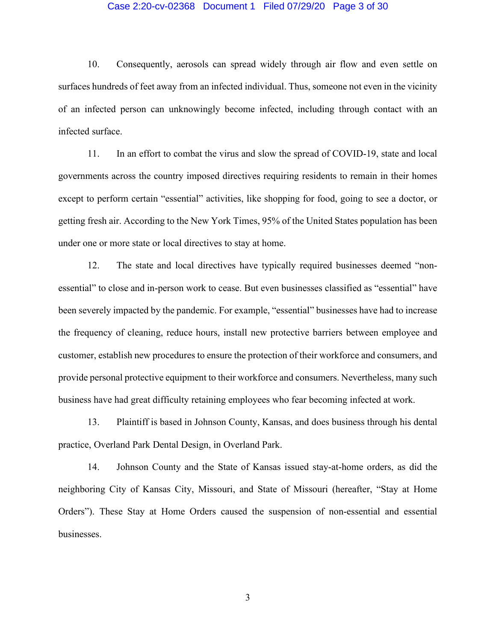#### Case 2:20-cv-02368 Document 1 Filed 07/29/20 Page 3 of 30

10. Consequently, aerosols can spread widely through air flow and even settle on surfaces hundreds of feet away from an infected individual. Thus, someone not even in the vicinity of an infected person can unknowingly become infected, including through contact with an infected surface.

11. In an effort to combat the virus and slow the spread of COVID-19, state and local governments across the country imposed directives requiring residents to remain in their homes except to perform certain "essential" activities, like shopping for food, going to see a doctor, or getting fresh air. According to the New York Times, 95% of the United States population has been under one or more state or local directives to stay at home.

12. The state and local directives have typically required businesses deemed "nonessential" to close and in-person work to cease. But even businesses classified as "essential" have been severely impacted by the pandemic. For example, "essential" businesses have had to increase the frequency of cleaning, reduce hours, install new protective barriers between employee and customer, establish new procedures to ensure the protection of their workforce and consumers, and provide personal protective equipment to their workforce and consumers. Nevertheless, many such business have had great difficulty retaining employees who fear becoming infected at work.

13. Plaintiff is based in Johnson County, Kansas, and does business through his dental practice, Overland Park Dental Design, in Overland Park.

14. Johnson County and the State of Kansas issued stay-at-home orders, as did the neighboring City of Kansas City, Missouri, and State of Missouri (hereafter, "Stay at Home Orders"). These Stay at Home Orders caused the suspension of non-essential and essential businesses.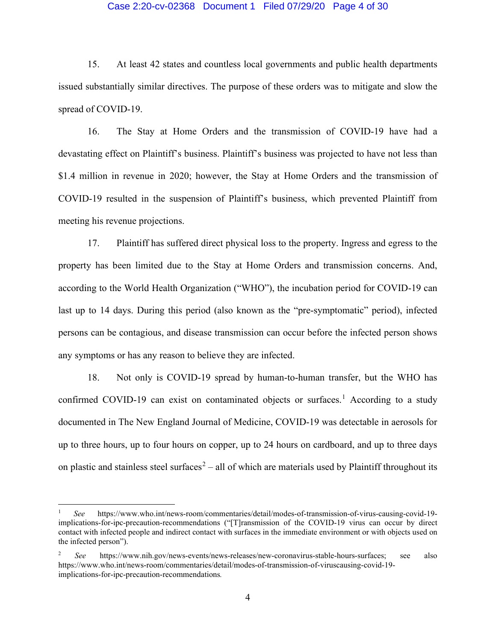#### Case 2:20-cv-02368 Document 1 Filed 07/29/20 Page 4 of 30

15. At least 42 states and countless local governments and public health departments issued substantially similar directives. The purpose of these orders was to mitigate and slow the spread of COVID-19.

16. The Stay at Home Orders and the transmission of COVID-19 have had a devastating effect on Plaintiff's business. Plaintiff's business was projected to have not less than \$1.4 million in revenue in 2020; however, the Stay at Home Orders and the transmission of COVID-19 resulted in the suspension of Plaintiff's business, which prevented Plaintiff from meeting his revenue projections.

17. Plaintiff has suffered direct physical loss to the property. Ingress and egress to the property has been limited due to the Stay at Home Orders and transmission concerns. And, according to the World Health Organization ("WHO"), the incubation period for COVID-19 can last up to 14 days. During this period (also known as the "pre-symptomatic" period), infected persons can be contagious, and disease transmission can occur before the infected person shows any symptoms or has any reason to believe they are infected.

18. Not only is COVID-19 spread by human-to-human transfer, but the WHO has confirmed COVID-[1](#page-3-0)9 can exist on contaminated objects or surfaces.<sup>1</sup> According to a study documented in The New England Journal of Medicine, COVID-19 was detectable in aerosols for up to three hours, up to four hours on copper, up to 24 hours on cardboard, and up to three days on plastic and stainless steel surfaces<sup>[2](#page-3-1)</sup> – all of which are materials used by Plaintiff throughout its

<span id="page-3-0"></span><sup>1</sup> *See* https://www.who.int/news-room/commentaries/detail/modes-of-transmission-of-virus-causing-covid-19 implications-for-ipc-precaution-recommendations ("[T]ransmission of the COVID-19 virus can occur by direct contact with infected people and indirect contact with surfaces in the immediate environment or with objects used on the infected person").

<span id="page-3-1"></span><sup>2</sup> *See* https://www.nih.gov/news-events/news-releases/new-coronavirus-stable-hours-surfaces; see also https://www.who.int/news-room/commentaries/detail/modes-of-transmission-of-viruscausing-covid-19 implications-for-ipc-precaution-recommendations*.*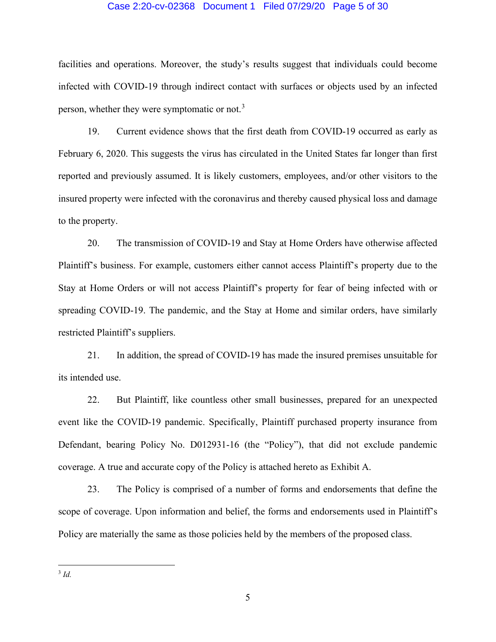#### Case 2:20-cv-02368 Document 1 Filed 07/29/20 Page 5 of 30

facilities and operations. Moreover, the study's results suggest that individuals could become infected with COVID-19 through indirect contact with surfaces or objects used by an infected person, whether they were symptomatic or not.[3](#page-4-0)

19. Current evidence shows that the first death from COVID-19 occurred as early as February 6, 2020. This suggests the virus has circulated in the United States far longer than first reported and previously assumed. It is likely customers, employees, and/or other visitors to the insured property were infected with the coronavirus and thereby caused physical loss and damage to the property.

20. The transmission of COVID-19 and Stay at Home Orders have otherwise affected Plaintiff's business. For example, customers either cannot access Plaintiff's property due to the Stay at Home Orders or will not access Plaintiff's property for fear of being infected with or spreading COVID-19. The pandemic, and the Stay at Home and similar orders, have similarly restricted Plaintiff's suppliers.

21. In addition, the spread of COVID-19 has made the insured premises unsuitable for its intended use.

22. But Plaintiff, like countless other small businesses, prepared for an unexpected event like the COVID-19 pandemic. Specifically, Plaintiff purchased property insurance from Defendant, bearing Policy No. D012931-16 (the "Policy"), that did not exclude pandemic coverage. A true and accurate copy of the Policy is attached hereto as Exhibit A.

<span id="page-4-0"></span>23. The Policy is comprised of a number of forms and endorsements that define the scope of coverage. Upon information and belief, the forms and endorsements used in Plaintiff's Policy are materially the same as those policies held by the members of the proposed class.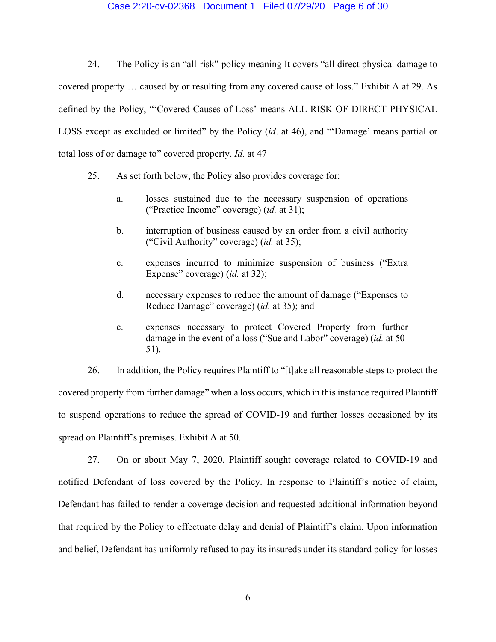## Case 2:20-cv-02368 Document 1 Filed 07/29/20 Page 6 of 30

24. The Policy is an "all-risk" policy meaning It covers "all direct physical damage to covered property … caused by or resulting from any covered cause of loss." Exhibit A at 29. As defined by the Policy, "'Covered Causes of Loss' means ALL RISK OF DIRECT PHYSICAL LOSS except as excluded or limited" by the Policy (*id*. at 46), and "'Damage' means partial or total loss of or damage to" covered property. *Id.* at 47

- 25. As set forth below, the Policy also provides coverage for:
	- a. losses sustained due to the necessary suspension of operations ("Practice Income" coverage) (*id.* at 31);
	- b. interruption of business caused by an order from a civil authority ("Civil Authority" coverage) (*id.* at 35);
	- c. expenses incurred to minimize suspension of business ("Extra Expense" coverage) (*id.* at 32);
	- d. necessary expenses to reduce the amount of damage ("Expenses to Reduce Damage" coverage) (*id.* at 35); and
	- e. expenses necessary to protect Covered Property from further damage in the event of a loss ("Sue and Labor" coverage) (*id.* at 50- 51).

26. In addition, the Policy requires Plaintiff to "[t]ake all reasonable steps to protect the covered property from further damage" when a loss occurs, which in this instance required Plaintiff to suspend operations to reduce the spread of COVID-19 and further losses occasioned by its spread on Plaintiff's premises. Exhibit A at 50.

27. On or about May 7, 2020, Plaintiff sought coverage related to COVID-19 and notified Defendant of loss covered by the Policy. In response to Plaintiff's notice of claim, Defendant has failed to render a coverage decision and requested additional information beyond that required by the Policy to effectuate delay and denial of Plaintiff's claim. Upon information and belief, Defendant has uniformly refused to pay its insureds under its standard policy for losses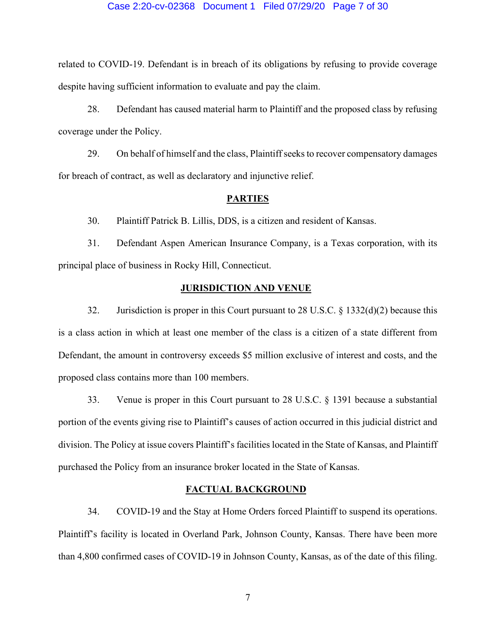#### Case 2:20-cv-02368 Document 1 Filed 07/29/20 Page 7 of 30

related to COVID-19. Defendant is in breach of its obligations by refusing to provide coverage despite having sufficient information to evaluate and pay the claim.

28. Defendant has caused material harm to Plaintiff and the proposed class by refusing coverage under the Policy.

29. On behalf of himself and the class, Plaintiff seeks to recover compensatory damages for breach of contract, as well as declaratory and injunctive relief.

#### **PARTIES**

30. Plaintiff Patrick B. Lillis, DDS, is a citizen and resident of Kansas.

31. Defendant Aspen American Insurance Company, is a Texas corporation, with its principal place of business in Rocky Hill, Connecticut.

## **JURISDICTION AND VENUE**

32. Jurisdiction is proper in this Court pursuant to 28 U.S.C. § 1332(d)(2) because this is a class action in which at least one member of the class is a citizen of a state different from Defendant, the amount in controversy exceeds \$5 million exclusive of interest and costs, and the proposed class contains more than 100 members.

33. Venue is proper in this Court pursuant to 28 U.S.C. § 1391 because a substantial portion of the events giving rise to Plaintiff's causes of action occurred in this judicial district and division. The Policy at issue covers Plaintiff's facilities located in the State of Kansas, and Plaintiff purchased the Policy from an insurance broker located in the State of Kansas.

#### **FACTUAL BACKGROUND**

34. COVID-19 and the Stay at Home Orders forced Plaintiff to suspend its operations. Plaintiff's facility is located in Overland Park, Johnson County, Kansas. There have been more than 4,800 confirmed cases of COVID-19 in Johnson County, Kansas, as of the date of this filing.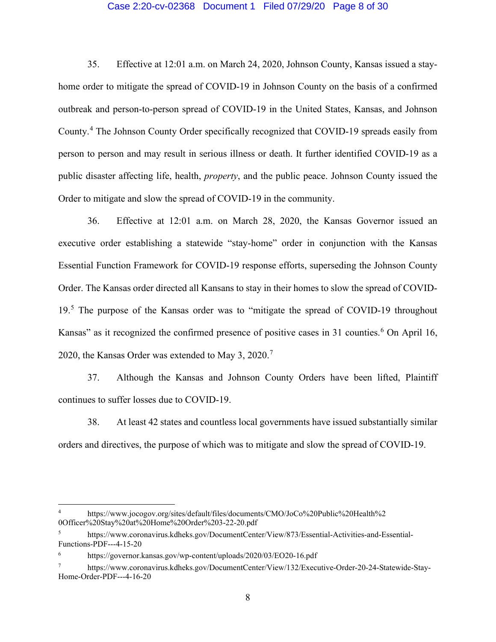## Case 2:20-cv-02368 Document 1 Filed 07/29/20 Page 8 of 30

35. Effective at 12:01 a.m. on March 24, 2020, Johnson County, Kansas issued a stayhome order to mitigate the spread of COVID-19 in Johnson County on the basis of a confirmed outbreak and person-to-person spread of COVID-19 in the United States, Kansas, and Johnson County.[4](#page-7-0) The Johnson County Order specifically recognized that COVID-19 spreads easily from person to person and may result in serious illness or death. It further identified COVID-19 as a public disaster affecting life, health, *property*, and the public peace. Johnson County issued the Order to mitigate and slow the spread of COVID-19 in the community.

36. Effective at 12:01 a.m. on March 28, 2020, the Kansas Governor issued an executive order establishing a statewide "stay-home" order in conjunction with the Kansas Essential Function Framework for COVID-19 response efforts, superseding the Johnson County Order. The Kansas order directed all Kansans to stay in their homes to slow the spread of COVID-19.[5](#page-7-1) The purpose of the Kansas order was to "mitigate the spread of COVID-19 throughout Kansas" as it recognized the confirmed presence of positive cases in 31 counties.<sup>[6](#page-7-2)</sup> On April 16, 2020, the Kansas Order was extended to May 3, 2020.<sup>[7](#page-7-3)</sup>

37. Although the Kansas and Johnson County Orders have been lifted, Plaintiff continues to suffer losses due to COVID-19.

38. At least 42 states and countless local governments have issued substantially similar orders and directives, the purpose of which was to mitigate and slow the spread of COVID-19.

<span id="page-7-0"></span><sup>4</sup> https://www.jocogov.org/sites/default/files/documents/CMO/JoCo%20Public%20Health%2 0Officer%20Stay%20at%20Home%20Order%203-22-20.pdf

<span id="page-7-1"></span><sup>5</sup> https://www.coronavirus.kdheks.gov/DocumentCenter/View/873/Essential-Activities-and-Essential-Functions-PDF---4-15-20

<span id="page-7-2"></span>https://governor.kansas.gov/wp-content/uploads/2020/03/EO20-16.pdf

<span id="page-7-3"></span><sup>7</sup> https://www.coronavirus.kdheks.gov/DocumentCenter/View/132/Executive-Order-20-24-Statewide-Stay-Home-Order-PDF---4-16-20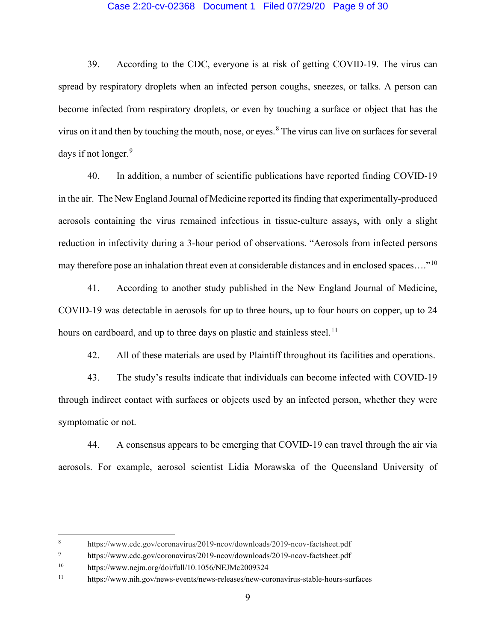## Case 2:20-cv-02368 Document 1 Filed 07/29/20 Page 9 of 30

39. According to the CDC, everyone is at risk of getting COVID-19. The virus can spread by respiratory droplets when an infected person coughs, sneezes, or talks. A person can become infected from respiratory droplets, or even by touching a surface or object that has the virus on it and then by touching the mouth, nose, or eyes. $8$  The virus can live on surfaces for several days if not longer.<sup>[9](#page-8-1)</sup>

40. In addition, a number of scientific publications have reported finding COVID-19 in the air. The New England Journal of Medicine reported its finding that experimentally-produced aerosols containing the virus remained infectious in tissue-culture assays, with only a slight reduction in infectivity during a 3-hour period of observations. "Aerosols from infected persons may therefore pose an inhalation threat even at considerable distances and in enclosed spaces…."[10](#page-8-2)

41. According to another study published in the New England Journal of Medicine, COVID-19 was detectable in aerosols for up to three hours, up to four hours on copper, up to 24 hours on cardboard, and up to three days on plastic and stainless steel.<sup>[11](#page-8-3)</sup>

42. All of these materials are used by Plaintiff throughout its facilities and operations.

43. The study's results indicate that individuals can become infected with COVID-19 through indirect contact with surfaces or objects used by an infected person, whether they were symptomatic or not.

44. A consensus appears to be emerging that COVID-19 can travel through the air via aerosols. For example, aerosol scientist Lidia Morawska of the Queensland University of

<span id="page-8-0"></span><sup>8</sup> https://www.cdc.gov/coronavirus/2019-ncov/downloads/2019-ncov-factsheet.pdf

<span id="page-8-1"></span><sup>9</sup> https://www.cdc.gov/coronavirus/2019-ncov/downloads/2019-ncov-factsheet.pdf

<span id="page-8-2"></span><sup>10</sup> https://www.nejm.org/doi/full/10.1056/NEJMc2009324

<span id="page-8-3"></span><sup>11</sup> https://www.nih.gov/news-events/news-releases/new-coronavirus-stable-hours-surfaces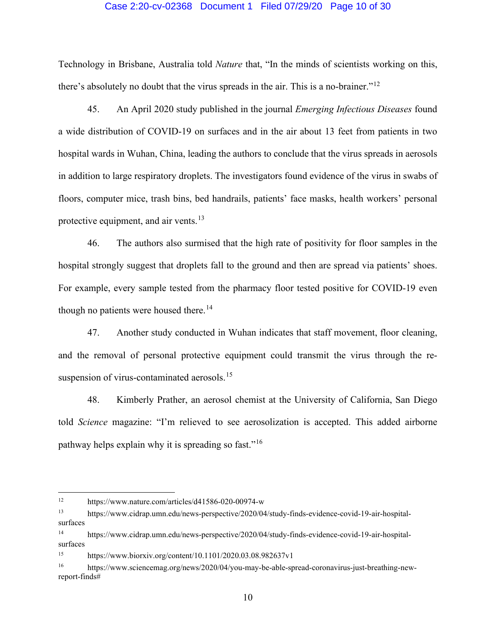## Case 2:20-cv-02368 Document 1 Filed 07/29/20 Page 10 of 30

Technology in Brisbane, Australia told *Nature* that, "In the minds of scientists working on this, there's absolutely no doubt that the virus spreads in the air. This is a no-brainer."<sup>[12](#page-9-0)</sup>

45. An April 2020 study published in the journal *Emerging Infectious Diseases* found a wide distribution of COVID-19 on surfaces and in the air about 13 feet from patients in two hospital wards in Wuhan, China, leading the authors to conclude that the virus spreads in aerosols in addition to large respiratory droplets. The investigators found evidence of the virus in swabs of floors, computer mice, trash bins, bed handrails, patients' face masks, health workers' personal protective equipment, and air vents. $13$ 

46. The authors also surmised that the high rate of positivity for floor samples in the hospital strongly suggest that droplets fall to the ground and then are spread via patients' shoes. For example, every sample tested from the pharmacy floor tested positive for COVID-19 even though no patients were housed there.<sup>[14](#page-9-2)</sup>

47. Another study conducted in Wuhan indicates that staff movement, floor cleaning, and the removal of personal protective equipment could transmit the virus through the re-suspension of virus-contaminated aerosols.<sup>[15](#page-9-3)</sup>

48. Kimberly Prather, an aerosol chemist at the University of California, San Diego told *Science* magazine: "I'm relieved to see aerosolization is accepted. This added airborne pathway helps explain why it is spreading so fast."[16](#page-9-4)

<span id="page-9-0"></span><sup>12</sup> https://www.nature.com/articles/d41586-020-00974-w

<span id="page-9-1"></span><sup>13</sup> https://www.cidrap.umn.edu/news-perspective/2020/04/study-finds-evidence-covid-19-air-hospitalsurfaces

<span id="page-9-2"></span><sup>14</sup> https://www.cidrap.umn.edu/news-perspective/2020/04/study-finds-evidence-covid-19-air-hospitalsurfaces

<span id="page-9-3"></span><sup>15</sup> https://www.biorxiv.org/content/10.1101/2020.03.08.982637v1

<span id="page-9-4"></span><sup>16</sup> https://www.sciencemag.org/news/2020/04/you-may-be-able-spread-coronavirus-just-breathing-newreport-finds#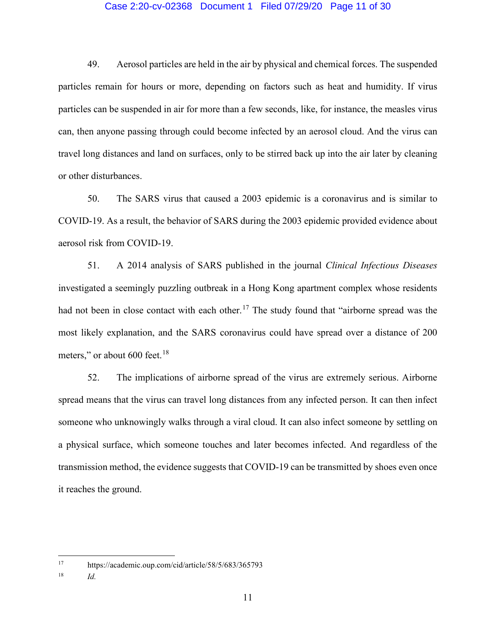## Case 2:20-cv-02368 Document 1 Filed 07/29/20 Page 11 of 30

49. Aerosol particles are held in the air by physical and chemical forces. The suspended particles remain for hours or more, depending on factors such as heat and humidity. If virus particles can be suspended in air for more than a few seconds, like, for instance, the measles virus can, then anyone passing through could become infected by an aerosol cloud. And the virus can travel long distances and land on surfaces, only to be stirred back up into the air later by cleaning or other disturbances.

50. The SARS virus that caused a 2003 epidemic is a coronavirus and is similar to COVID-19. As a result, the behavior of SARS during the 2003 epidemic provided evidence about aerosol risk from COVID-19.

51. A 2014 analysis of SARS published in the journal *Clinical Infectious Diseases* investigated a seemingly puzzling outbreak in a Hong Kong apartment complex whose residents had not been in close contact with each other.<sup>[17](#page-10-0)</sup> The study found that "airborne spread was the most likely explanation, and the SARS coronavirus could have spread over a distance of 200 meters," or about  $600$  feet.<sup>[18](#page-10-1)</sup>

52. The implications of airborne spread of the virus are extremely serious. Airborne spread means that the virus can travel long distances from any infected person. It can then infect someone who unknowingly walks through a viral cloud. It can also infect someone by settling on a physical surface, which someone touches and later becomes infected. And regardless of the transmission method, the evidence suggests that COVID-19 can be transmitted by shoes even once it reaches the ground.

<span id="page-10-0"></span><sup>17</sup> https://academic.oup.com/cid/article/58/5/683/365793

<span id="page-10-1"></span><sup>18</sup> *Id.*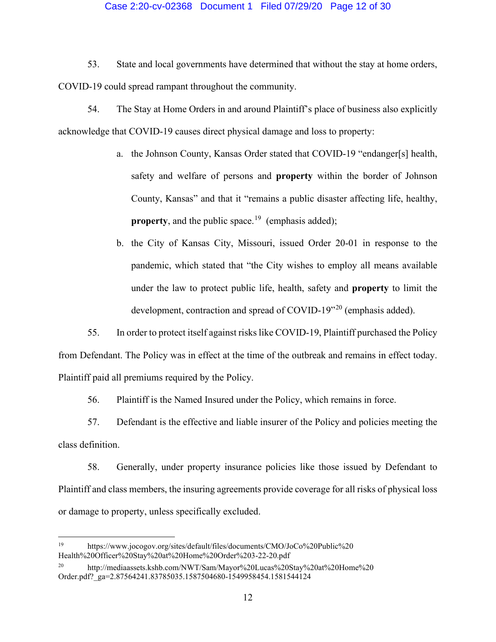## Case 2:20-cv-02368 Document 1 Filed 07/29/20 Page 12 of 30

53. State and local governments have determined that without the stay at home orders, COVID-19 could spread rampant throughout the community.

54. The Stay at Home Orders in and around Plaintiff's place of business also explicitly acknowledge that COVID-19 causes direct physical damage and loss to property:

- a. the Johnson County, Kansas Order stated that COVID-19 "endanger[s] health, safety and welfare of persons and **property** within the border of Johnson County, Kansas" and that it "remains a public disaster affecting life, healthy, **property**, and the public space.<sup>19</sup> (emphasis added);
- b. the City of Kansas City, Missouri, issued Order 20-01 in response to the pandemic, which stated that "the City wishes to employ all means available under the law to protect public life, health, safety and **property** to limit the development, contraction and spread of COVID-19<sup>"[20](#page-11-1)</sup> (emphasis added).

55. In order to protect itself against risks like COVID-19, Plaintiff purchased the Policy from Defendant. The Policy was in effect at the time of the outbreak and remains in effect today. Plaintiff paid all premiums required by the Policy.

56. Plaintiff is the Named Insured under the Policy, which remains in force.

57. Defendant is the effective and liable insurer of the Policy and policies meeting the class definition.

58. Generally, under property insurance policies like those issued by Defendant to Plaintiff and class members, the insuring agreements provide coverage for all risks of physical loss or damage to property, unless specifically excluded.

<span id="page-11-0"></span><sup>19</sup> https://www.jocogov.org/sites/default/files/documents/CMO/JoCo%20Public%20 Health%20Officer%20Stay%20at%20Home%20Order%203-22-20.pdf

<span id="page-11-1"></span><sup>20</sup> http://mediaassets.kshb.com/NWT/Sam/Mayor%20Lucas%20Stay%20at%20Home%20 Order.pdf?\_ga=2.87564241.83785035.1587504680-1549958454.1581544124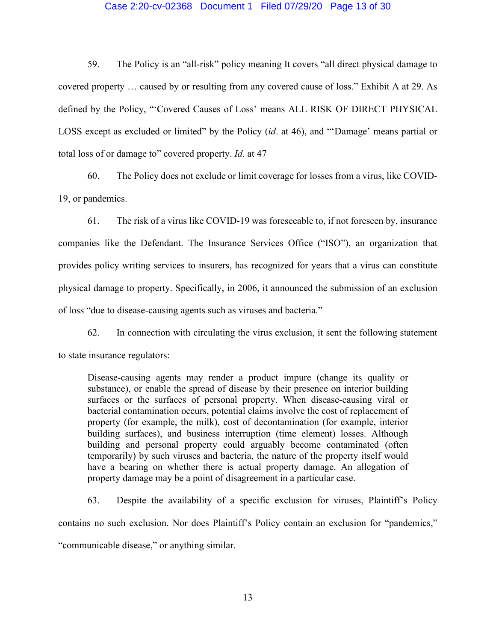## Case 2:20-cv-02368 Document 1 Filed 07/29/20 Page 13 of 30

59. The Policy is an "all-risk" policy meaning It covers "all direct physical damage to covered property … caused by or resulting from any covered cause of loss." Exhibit A at 29. As defined by the Policy, "'Covered Causes of Loss' means ALL RISK OF DIRECT PHYSICAL LOSS except as excluded or limited" by the Policy (*id*. at 46), and "'Damage' means partial or total loss of or damage to" covered property. *Id.* at 47

60. The Policy does not exclude or limit coverage for losses from a virus, like COVID-19, or pandemics.

61. The risk of a virus like COVID-19 was foreseeable to, if not foreseen by, insurance companies like the Defendant. The Insurance Services Office ("ISO"), an organization that provides policy writing services to insurers, has recognized for years that a virus can constitute physical damage to property. Specifically, in 2006, it announced the submission of an exclusion of loss "due to disease-causing agents such as viruses and bacteria."

62. In connection with circulating the virus exclusion, it sent the following statement to state insurance regulators:

Disease-causing agents may render a product impure (change its quality or substance), or enable the spread of disease by their presence on interior building surfaces or the surfaces of personal property. When disease-causing viral or bacterial contamination occurs, potential claims involve the cost of replacement of property (for example, the milk), cost of decontamination (for example, interior building surfaces), and business interruption (time element) losses. Although building and personal property could arguably become contaminated (often temporarily) by such viruses and bacteria, the nature of the property itself would have a bearing on whether there is actual property damage. An allegation of property damage may be a point of disagreement in a particular case.

63. Despite the availability of a specific exclusion for viruses, Plaintiff's Policy contains no such exclusion. Nor does Plaintiff's Policy contain an exclusion for "pandemics," "communicable disease," or anything similar.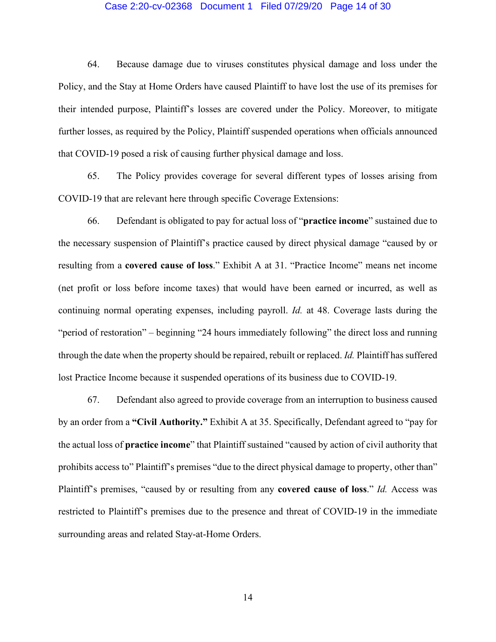#### Case 2:20-cv-02368 Document 1 Filed 07/29/20 Page 14 of 30

64. Because damage due to viruses constitutes physical damage and loss under the Policy, and the Stay at Home Orders have caused Plaintiff to have lost the use of its premises for their intended purpose, Plaintiff's losses are covered under the Policy. Moreover, to mitigate further losses, as required by the Policy, Plaintiff suspended operations when officials announced that COVID-19 posed a risk of causing further physical damage and loss.

65. The Policy provides coverage for several different types of losses arising from COVID-19 that are relevant here through specific Coverage Extensions:

66. Defendant is obligated to pay for actual loss of "**practice income**" sustained due to the necessary suspension of Plaintiff's practice caused by direct physical damage "caused by or resulting from a **covered cause of loss**." Exhibit A at 31. "Practice Income" means net income (net profit or loss before income taxes) that would have been earned or incurred, as well as continuing normal operating expenses, including payroll. *Id.* at 48. Coverage lasts during the "period of restoration" – beginning "24 hours immediately following" the direct loss and running through the date when the property should be repaired, rebuilt or replaced. *Id.* Plaintiff has suffered lost Practice Income because it suspended operations of its business due to COVID-19.

67. Defendant also agreed to provide coverage from an interruption to business caused by an order from a **"Civil Authority."** Exhibit A at 35. Specifically, Defendant agreed to "pay for the actual loss of **practice income**" that Plaintiff sustained "caused by action of civil authority that prohibits access to" Plaintiff's premises "due to the direct physical damage to property, other than" Plaintiff's premises, "caused by or resulting from any **covered cause of loss**." *Id.* Access was restricted to Plaintiff's premises due to the presence and threat of COVID-19 in the immediate surrounding areas and related Stay-at-Home Orders.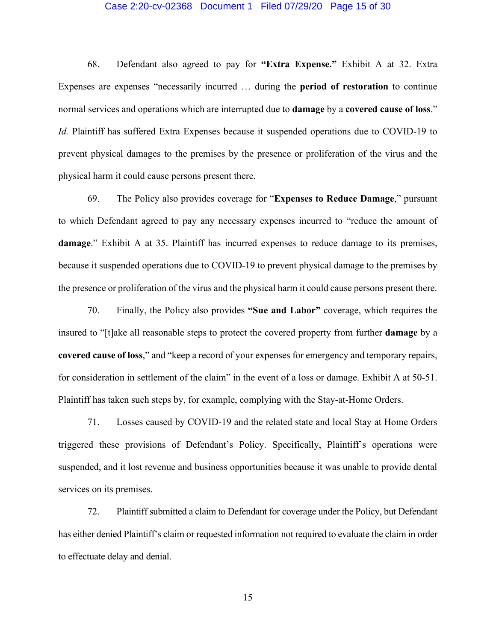#### Case 2:20-cv-02368 Document 1 Filed 07/29/20 Page 15 of 30

68. Defendant also agreed to pay for **"Extra Expense."** Exhibit A at 32. Extra Expenses are expenses "necessarily incurred … during the **period of restoration** to continue normal services and operations which are interrupted due to **damage** by a **covered cause of loss**." *Id.* Plaintiff has suffered Extra Expenses because it suspended operations due to COVID-19 to prevent physical damages to the premises by the presence or proliferation of the virus and the physical harm it could cause persons present there.

69. The Policy also provides coverage for "**Expenses to Reduce Damage**," pursuant to which Defendant agreed to pay any necessary expenses incurred to "reduce the amount of **damage**." Exhibit A at 35. Plaintiff has incurred expenses to reduce damage to its premises, because it suspended operations due to COVID-19 to prevent physical damage to the premises by the presence or proliferation of the virus and the physical harm it could cause persons present there.

70. Finally, the Policy also provides **"Sue and Labor"** coverage, which requires the insured to "[t]ake all reasonable steps to protect the covered property from further **damage** by a **covered cause of loss**," and "keep a record of your expenses for emergency and temporary repairs, for consideration in settlement of the claim" in the event of a loss or damage. Exhibit A at 50-51. Plaintiff has taken such steps by, for example, complying with the Stay-at-Home Orders.

71. Losses caused by COVID-19 and the related state and local Stay at Home Orders triggered these provisions of Defendant's Policy. Specifically, Plaintiff's operations were suspended, and it lost revenue and business opportunities because it was unable to provide dental services on its premises.

72. Plaintiff submitted a claim to Defendant for coverage under the Policy, but Defendant has either denied Plaintiff's claim or requested information not required to evaluate the claim in order to effectuate delay and denial.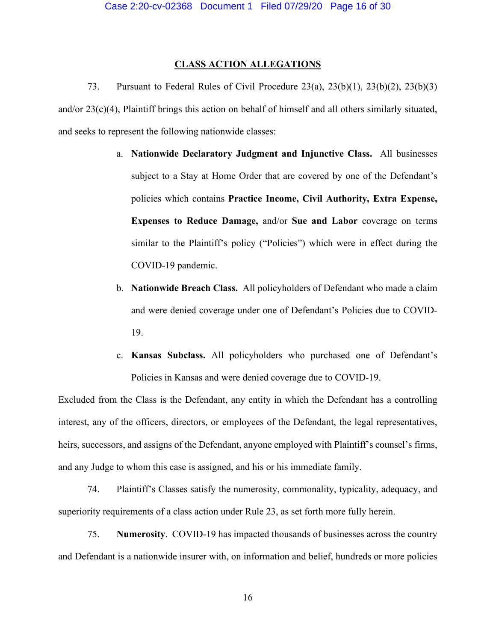## **CLASS ACTION ALLEGATIONS**

73. Pursuant to Federal Rules of Civil Procedure 23(a), 23(b)(1), 23(b)(2), 23(b)(3) and/or 23(c)(4), Plaintiff brings this action on behalf of himself and all others similarly situated, and seeks to represent the following nationwide classes:

- a. **Nationwide Declaratory Judgment and Injunctive Class.** All businesses subject to a Stay at Home Order that are covered by one of the Defendant's policies which contains **Practice Income, Civil Authority, Extra Expense, Expenses to Reduce Damage,** and/or **Sue and Labor** coverage on terms similar to the Plaintiff's policy ("Policies") which were in effect during the COVID-19 pandemic.
- b. **Nationwide Breach Class.** All policyholders of Defendant who made a claim and were denied coverage under one of Defendant's Policies due to COVID-19.
- c. **Kansas Subclass.** All policyholders who purchased one of Defendant's Policies in Kansas and were denied coverage due to COVID-19.

Excluded from the Class is the Defendant, any entity in which the Defendant has a controlling interest, any of the officers, directors, or employees of the Defendant, the legal representatives, heirs, successors, and assigns of the Defendant, anyone employed with Plaintiff's counsel's firms, and any Judge to whom this case is assigned, and his or his immediate family.

74. Plaintiff's Classes satisfy the numerosity, commonality, typicality, adequacy, and superiority requirements of a class action under Rule 23, as set forth more fully herein.

75. **Numerosity**. COVID-19 has impacted thousands of businesses across the country and Defendant is a nationwide insurer with, on information and belief, hundreds or more policies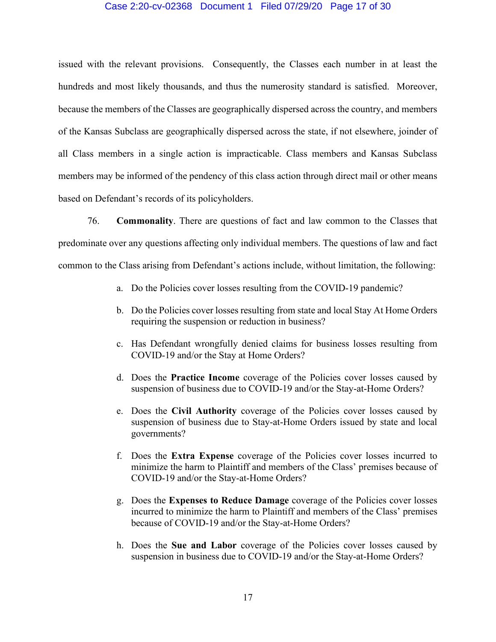## Case 2:20-cv-02368 Document 1 Filed 07/29/20 Page 17 of 30

issued with the relevant provisions. Consequently, the Classes each number in at least the hundreds and most likely thousands, and thus the numerosity standard is satisfied. Moreover, because the members of the Classes are geographically dispersed across the country, and members of the Kansas Subclass are geographically dispersed across the state, if not elsewhere, joinder of all Class members in a single action is impracticable. Class members and Kansas Subclass members may be informed of the pendency of this class action through direct mail or other means based on Defendant's records of its policyholders.

76. **Commonality**. There are questions of fact and law common to the Classes that predominate over any questions affecting only individual members. The questions of law and fact common to the Class arising from Defendant's actions include, without limitation, the following:

- a. Do the Policies cover losses resulting from the COVID-19 pandemic?
- b. Do the Policies cover losses resulting from state and local Stay At Home Orders requiring the suspension or reduction in business?
- c. Has Defendant wrongfully denied claims for business losses resulting from COVID-19 and/or the Stay at Home Orders?
- d. Does the **Practice Income** coverage of the Policies cover losses caused by suspension of business due to COVID-19 and/or the Stay-at-Home Orders?
- e. Does the **Civil Authority** coverage of the Policies cover losses caused by suspension of business due to Stay-at-Home Orders issued by state and local governments?
- f. Does the **Extra Expense** coverage of the Policies cover losses incurred to minimize the harm to Plaintiff and members of the Class' premises because of COVID-19 and/or the Stay-at-Home Orders?
- g. Does the **Expenses to Reduce Damage** coverage of the Policies cover losses incurred to minimize the harm to Plaintiff and members of the Class' premises because of COVID-19 and/or the Stay-at-Home Orders?
- h. Does the **Sue and Labor** coverage of the Policies cover losses caused by suspension in business due to COVID-19 and/or the Stay-at-Home Orders?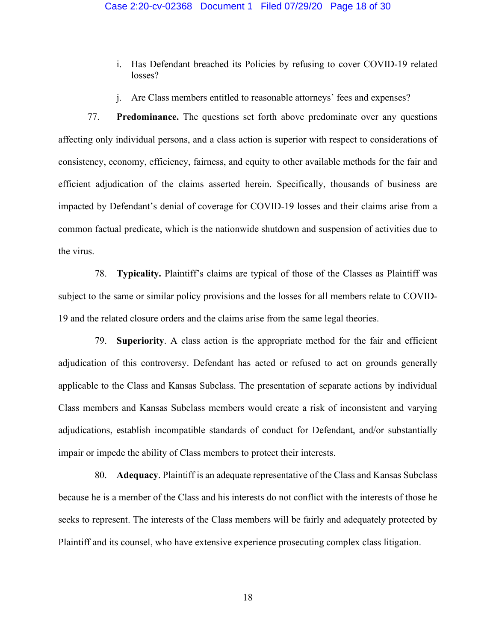- i. Has Defendant breached its Policies by refusing to cover COVID-19 related losses?
- j. Are Class members entitled to reasonable attorneys' fees and expenses?

77. **Predominance.** The questions set forth above predominate over any questions affecting only individual persons, and a class action is superior with respect to considerations of consistency, economy, efficiency, fairness, and equity to other available methods for the fair and efficient adjudication of the claims asserted herein. Specifically, thousands of business are impacted by Defendant's denial of coverage for COVID-19 losses and their claims arise from a common factual predicate, which is the nationwide shutdown and suspension of activities due to the virus.

78. **Typicality.** Plaintiff's claims are typical of those of the Classes as Plaintiff was subject to the same or similar policy provisions and the losses for all members relate to COVID-19 and the related closure orders and the claims arise from the same legal theories.

79. **Superiority**. A class action is the appropriate method for the fair and efficient adjudication of this controversy. Defendant has acted or refused to act on grounds generally applicable to the Class and Kansas Subclass. The presentation of separate actions by individual Class members and Kansas Subclass members would create a risk of inconsistent and varying adjudications, establish incompatible standards of conduct for Defendant, and/or substantially impair or impede the ability of Class members to protect their interests.

80. **Adequacy**. Plaintiff is an adequate representative of the Class and Kansas Subclass because he is a member of the Class and his interests do not conflict with the interests of those he seeks to represent. The interests of the Class members will be fairly and adequately protected by Plaintiff and its counsel, who have extensive experience prosecuting complex class litigation.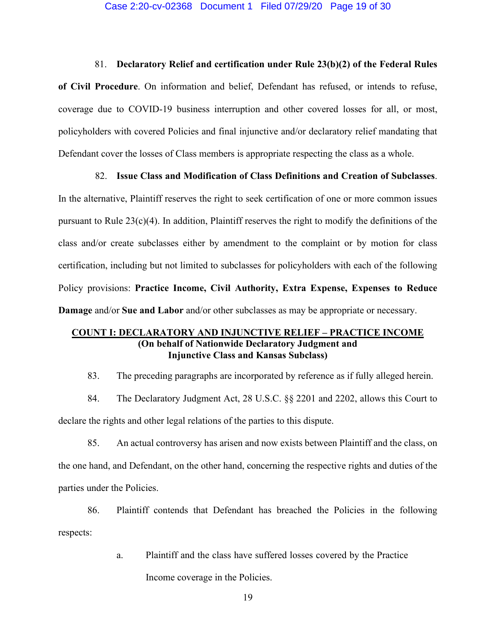#### 81. **Declaratory Relief and certification under Rule 23(b)(2) of the Federal Rules**

**of Civil Procedure**. On information and belief, Defendant has refused, or intends to refuse, coverage due to COVID-19 business interruption and other covered losses for all, or most, policyholders with covered Policies and final injunctive and/or declaratory relief mandating that Defendant cover the losses of Class members is appropriate respecting the class as a whole.

## 82. **Issue Class and Modification of Class Definitions and Creation of Subclasses**.

In the alternative, Plaintiff reserves the right to seek certification of one or more common issues pursuant to Rule  $23(c)(4)$ . In addition, Plaintiff reserves the right to modify the definitions of the class and/or create subclasses either by amendment to the complaint or by motion for class certification, including but not limited to subclasses for policyholders with each of the following Policy provisions: **Practice Income, Civil Authority, Extra Expense, Expenses to Reduce Damage** and/or **Sue and Labor** and/or other subclasses as may be appropriate or necessary.

# **COUNT I: DECLARATORY AND INJUNCTIVE RELIEF – PRACTICE INCOME (On behalf of Nationwide Declaratory Judgment and Injunctive Class and Kansas Subclass)**

83. The preceding paragraphs are incorporated by reference as if fully alleged herein.

84. The Declaratory Judgment Act, 28 U.S.C. §§ 2201 and 2202, allows this Court to declare the rights and other legal relations of the parties to this dispute.

85. An actual controversy has arisen and now exists between Plaintiff and the class, on the one hand, and Defendant, on the other hand, concerning the respective rights and duties of the parties under the Policies.

86. Plaintiff contends that Defendant has breached the Policies in the following respects:

a. Plaintiff and the class have suffered losses covered by the Practice

Income coverage in the Policies.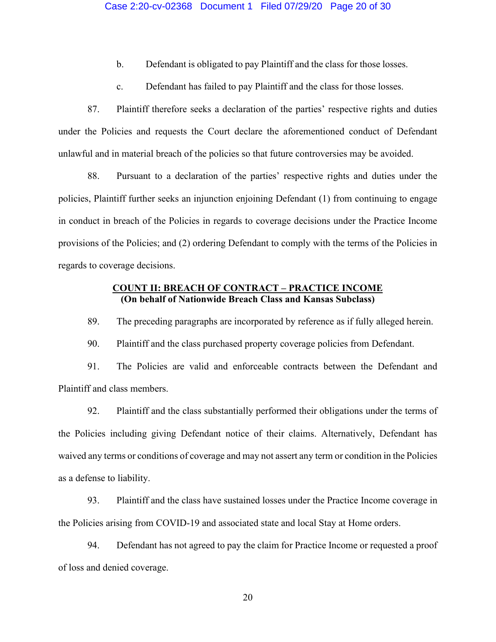## Case 2:20-cv-02368 Document 1 Filed 07/29/20 Page 20 of 30

- b. Defendant is obligated to pay Plaintiff and the class for those losses.
- c. Defendant has failed to pay Plaintiff and the class for those losses.

87. Plaintiff therefore seeks a declaration of the parties' respective rights and duties under the Policies and requests the Court declare the aforementioned conduct of Defendant unlawful and in material breach of the policies so that future controversies may be avoided.

88. Pursuant to a declaration of the parties' respective rights and duties under the policies, Plaintiff further seeks an injunction enjoining Defendant (1) from continuing to engage in conduct in breach of the Policies in regards to coverage decisions under the Practice Income provisions of the Policies; and (2) ordering Defendant to comply with the terms of the Policies in regards to coverage decisions.

## **COUNT II: BREACH OF CONTRACT – PRACTICE INCOME (On behalf of Nationwide Breach Class and Kansas Subclass)**

89. The preceding paragraphs are incorporated by reference as if fully alleged herein.

90. Plaintiff and the class purchased property coverage policies from Defendant.

91. The Policies are valid and enforceable contracts between the Defendant and Plaintiff and class members.

92. Plaintiff and the class substantially performed their obligations under the terms of the Policies including giving Defendant notice of their claims. Alternatively, Defendant has waived any terms or conditions of coverage and may not assert any term or condition in the Policies as a defense to liability.

93. Plaintiff and the class have sustained losses under the Practice Income coverage in the Policies arising from COVID-19 and associated state and local Stay at Home orders.

94. Defendant has not agreed to pay the claim for Practice Income or requested a proof of loss and denied coverage.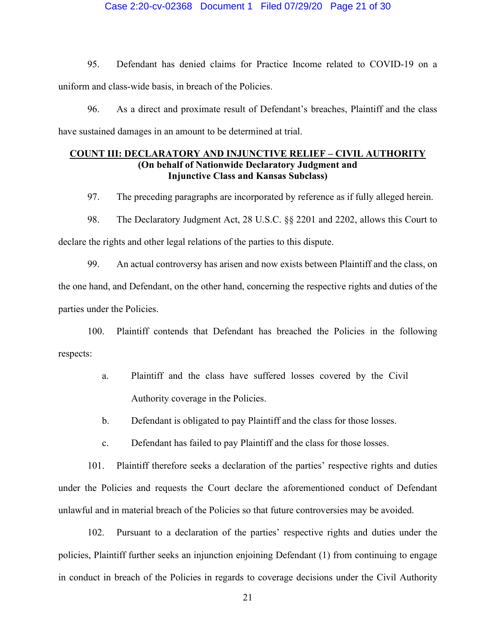## Case 2:20-cv-02368 Document 1 Filed 07/29/20 Page 21 of 30

95. Defendant has denied claims for Practice Income related to COVID-19 on a uniform and class-wide basis, in breach of the Policies.

96. As a direct and proximate result of Defendant's breaches, Plaintiff and the class have sustained damages in an amount to be determined at trial.

# **COUNT III: DECLARATORY AND INJUNCTIVE RELIEF – CIVIL AUTHORITY (On behalf of Nationwide Declaratory Judgment and Injunctive Class and Kansas Subclass)**

97. The preceding paragraphs are incorporated by reference as if fully alleged herein.

98. The Declaratory Judgment Act, 28 U.S.C. §§ 2201 and 2202, allows this Court to declare the rights and other legal relations of the parties to this dispute.

99. An actual controversy has arisen and now exists between Plaintiff and the class, on the one hand, and Defendant, on the other hand, concerning the respective rights and duties of the parties under the Policies.

100. Plaintiff contends that Defendant has breached the Policies in the following respects:

- a. Plaintiff and the class have suffered losses covered by the Civil Authority coverage in the Policies.
- b. Defendant is obligated to pay Plaintiff and the class for those losses.
- c. Defendant has failed to pay Plaintiff and the class for those losses.

101. Plaintiff therefore seeks a declaration of the parties' respective rights and duties under the Policies and requests the Court declare the aforementioned conduct of Defendant unlawful and in material breach of the Policies so that future controversies may be avoided.

102. Pursuant to a declaration of the parties' respective rights and duties under the policies, Plaintiff further seeks an injunction enjoining Defendant (1) from continuing to engage in conduct in breach of the Policies in regards to coverage decisions under the Civil Authority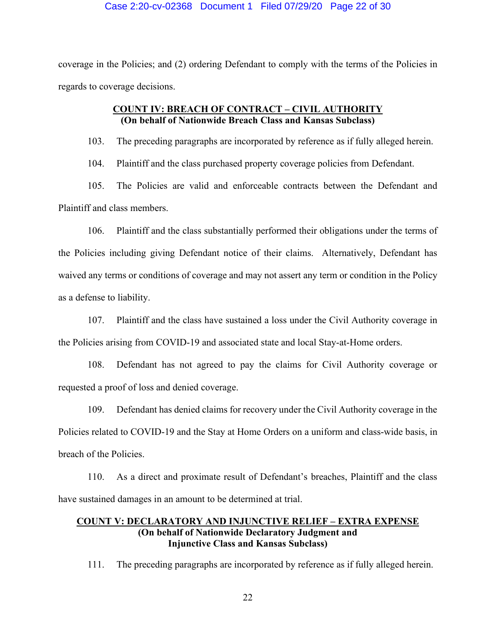## Case 2:20-cv-02368 Document 1 Filed 07/29/20 Page 22 of 30

coverage in the Policies; and (2) ordering Defendant to comply with the terms of the Policies in regards to coverage decisions.

# **COUNT IV: BREACH OF CONTRACT – CIVIL AUTHORITY (On behalf of Nationwide Breach Class and Kansas Subclass)**

103. The preceding paragraphs are incorporated by reference as if fully alleged herein.

104. Plaintiff and the class purchased property coverage policies from Defendant.

105. The Policies are valid and enforceable contracts between the Defendant and Plaintiff and class members.

106. Plaintiff and the class substantially performed their obligations under the terms of the Policies including giving Defendant notice of their claims. Alternatively, Defendant has waived any terms or conditions of coverage and may not assert any term or condition in the Policy as a defense to liability.

107. Plaintiff and the class have sustained a loss under the Civil Authority coverage in the Policies arising from COVID-19 and associated state and local Stay-at-Home orders.

108. Defendant has not agreed to pay the claims for Civil Authority coverage or requested a proof of loss and denied coverage.

109. Defendant has denied claims for recovery under the Civil Authority coverage in the Policies related to COVID-19 and the Stay at Home Orders on a uniform and class-wide basis, in breach of the Policies.

110. As a direct and proximate result of Defendant's breaches, Plaintiff and the class have sustained damages in an amount to be determined at trial.

# **COUNT V: DECLARATORY AND INJUNCTIVE RELIEF – EXTRA EXPENSE (On behalf of Nationwide Declaratory Judgment and Injunctive Class and Kansas Subclass)**

111. The preceding paragraphs are incorporated by reference as if fully alleged herein.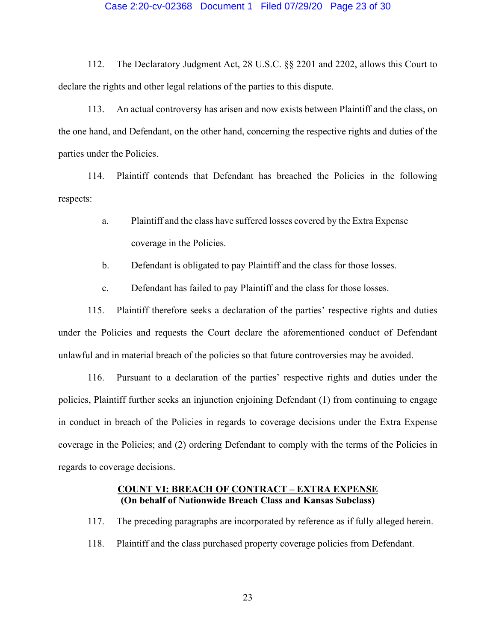## Case 2:20-cv-02368 Document 1 Filed 07/29/20 Page 23 of 30

112. The Declaratory Judgment Act, 28 U.S.C. §§ 2201 and 2202, allows this Court to declare the rights and other legal relations of the parties to this dispute.

113. An actual controversy has arisen and now exists between Plaintiff and the class, on the one hand, and Defendant, on the other hand, concerning the respective rights and duties of the parties under the Policies.

114. Plaintiff contends that Defendant has breached the Policies in the following respects:

- a. Plaintiff and the class have suffered losses covered by the Extra Expense coverage in the Policies.
- b. Defendant is obligated to pay Plaintiff and the class for those losses.
- c. Defendant has failed to pay Plaintiff and the class for those losses.

115. Plaintiff therefore seeks a declaration of the parties' respective rights and duties under the Policies and requests the Court declare the aforementioned conduct of Defendant unlawful and in material breach of the policies so that future controversies may be avoided.

116. Pursuant to a declaration of the parties' respective rights and duties under the policies, Plaintiff further seeks an injunction enjoining Defendant (1) from continuing to engage in conduct in breach of the Policies in regards to coverage decisions under the Extra Expense coverage in the Policies; and (2) ordering Defendant to comply with the terms of the Policies in regards to coverage decisions.

## **COUNT VI: BREACH OF CONTRACT – EXTRA EXPENSE (On behalf of Nationwide Breach Class and Kansas Subclass)**

- 117. The preceding paragraphs are incorporated by reference as if fully alleged herein.
- 118. Plaintiff and the class purchased property coverage policies from Defendant.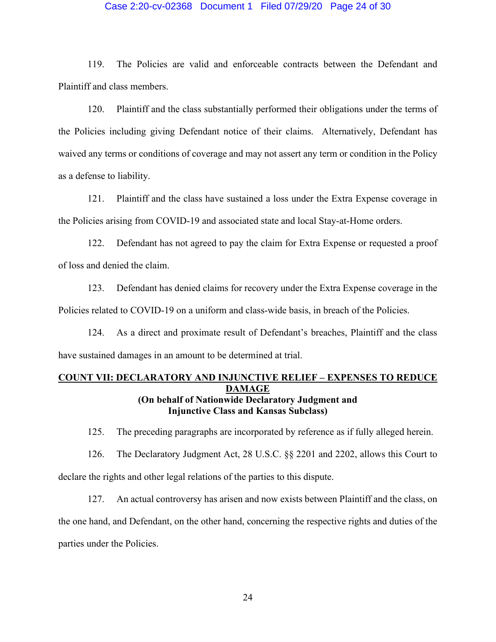## Case 2:20-cv-02368 Document 1 Filed 07/29/20 Page 24 of 30

119. The Policies are valid and enforceable contracts between the Defendant and Plaintiff and class members.

120. Plaintiff and the class substantially performed their obligations under the terms of the Policies including giving Defendant notice of their claims. Alternatively, Defendant has waived any terms or conditions of coverage and may not assert any term or condition in the Policy as a defense to liability.

121. Plaintiff and the class have sustained a loss under the Extra Expense coverage in the Policies arising from COVID-19 and associated state and local Stay-at-Home orders.

122. Defendant has not agreed to pay the claim for Extra Expense or requested a proof of loss and denied the claim.

123. Defendant has denied claims for recovery under the Extra Expense coverage in the Policies related to COVID-19 on a uniform and class-wide basis, in breach of the Policies.

124. As a direct and proximate result of Defendant's breaches, Plaintiff and the class have sustained damages in an amount to be determined at trial.

# **COUNT VII: DECLARATORY AND INJUNCTIVE RELIEF – EXPENSES TO REDUCE DAMAGE (On behalf of Nationwide Declaratory Judgment and Injunctive Class and Kansas Subclass)**

125. The preceding paragraphs are incorporated by reference as if fully alleged herein.

126. The Declaratory Judgment Act, 28 U.S.C. §§ 2201 and 2202, allows this Court to

declare the rights and other legal relations of the parties to this dispute.

127. An actual controversy has arisen and now exists between Plaintiff and the class, on the one hand, and Defendant, on the other hand, concerning the respective rights and duties of the parties under the Policies.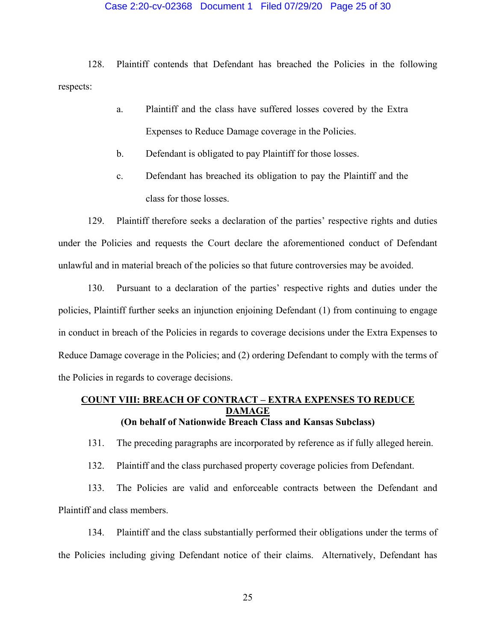## Case 2:20-cv-02368 Document 1 Filed 07/29/20 Page 25 of 30

128. Plaintiff contends that Defendant has breached the Policies in the following respects:

- a. Plaintiff and the class have suffered losses covered by the Extra Expenses to Reduce Damage coverage in the Policies.
- b. Defendant is obligated to pay Plaintiff for those losses.
- c. Defendant has breached its obligation to pay the Plaintiff and the class for those losses.

129. Plaintiff therefore seeks a declaration of the parties' respective rights and duties under the Policies and requests the Court declare the aforementioned conduct of Defendant unlawful and in material breach of the policies so that future controversies may be avoided.

130. Pursuant to a declaration of the parties' respective rights and duties under the policies, Plaintiff further seeks an injunction enjoining Defendant (1) from continuing to engage in conduct in breach of the Policies in regards to coverage decisions under the Extra Expenses to Reduce Damage coverage in the Policies; and (2) ordering Defendant to comply with the terms of the Policies in regards to coverage decisions.

# **COUNT VIII: BREACH OF CONTRACT – EXTRA EXPENSES TO REDUCE DAMAGE (On behalf of Nationwide Breach Class and Kansas Subclass)**

131. The preceding paragraphs are incorporated by reference as if fully alleged herein.

132. Plaintiff and the class purchased property coverage policies from Defendant.

133. The Policies are valid and enforceable contracts between the Defendant and Plaintiff and class members.

134. Plaintiff and the class substantially performed their obligations under the terms of the Policies including giving Defendant notice of their claims. Alternatively, Defendant has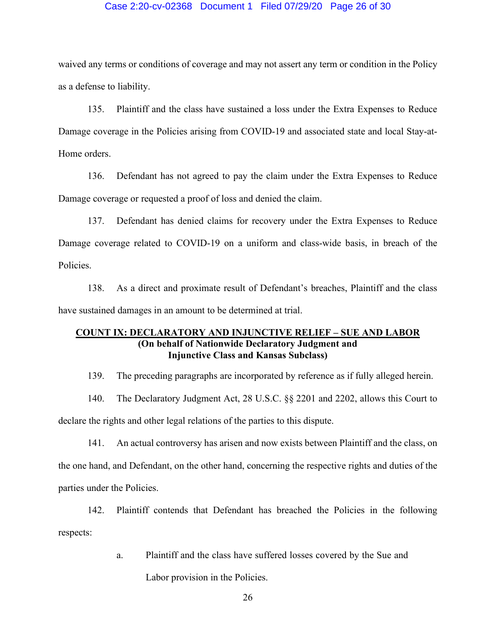## Case 2:20-cv-02368 Document 1 Filed 07/29/20 Page 26 of 30

waived any terms or conditions of coverage and may not assert any term or condition in the Policy as a defense to liability.

135. Plaintiff and the class have sustained a loss under the Extra Expenses to Reduce Damage coverage in the Policies arising from COVID-19 and associated state and local Stay-at-Home orders.

136. Defendant has not agreed to pay the claim under the Extra Expenses to Reduce Damage coverage or requested a proof of loss and denied the claim.

137. Defendant has denied claims for recovery under the Extra Expenses to Reduce Damage coverage related to COVID-19 on a uniform and class-wide basis, in breach of the Policies.

138. As a direct and proximate result of Defendant's breaches, Plaintiff and the class have sustained damages in an amount to be determined at trial.

# **COUNT IX: DECLARATORY AND INJUNCTIVE RELIEF – SUE AND LABOR (On behalf of Nationwide Declaratory Judgment and Injunctive Class and Kansas Subclass)**

139. The preceding paragraphs are incorporated by reference as if fully alleged herein.

140. The Declaratory Judgment Act, 28 U.S.C. §§ 2201 and 2202, allows this Court to declare the rights and other legal relations of the parties to this dispute.

141. An actual controversy has arisen and now exists between Plaintiff and the class, on the one hand, and Defendant, on the other hand, concerning the respective rights and duties of the parties under the Policies.

142. Plaintiff contends that Defendant has breached the Policies in the following respects:

a. Plaintiff and the class have suffered losses covered by the Sue and

Labor provision in the Policies.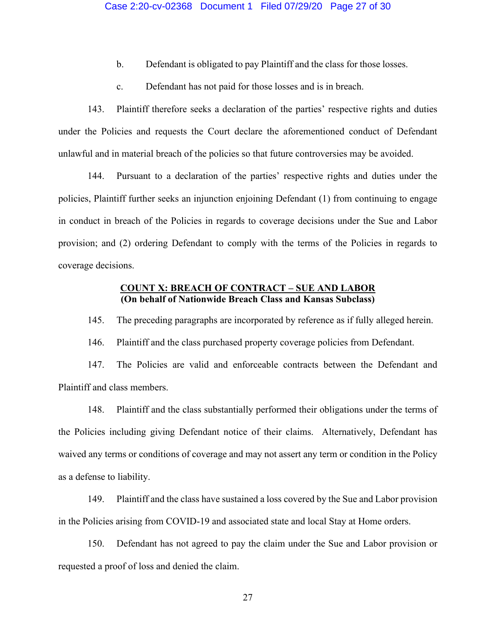- b. Defendant is obligated to pay Plaintiff and the class for those losses.
- c. Defendant has not paid for those losses and is in breach.

143. Plaintiff therefore seeks a declaration of the parties' respective rights and duties under the Policies and requests the Court declare the aforementioned conduct of Defendant unlawful and in material breach of the policies so that future controversies may be avoided.

144. Pursuant to a declaration of the parties' respective rights and duties under the policies, Plaintiff further seeks an injunction enjoining Defendant (1) from continuing to engage in conduct in breach of the Policies in regards to coverage decisions under the Sue and Labor provision; and (2) ordering Defendant to comply with the terms of the Policies in regards to coverage decisions.

## **COUNT X: BREACH OF CONTRACT – SUE AND LABOR (On behalf of Nationwide Breach Class and Kansas Subclass)**

145. The preceding paragraphs are incorporated by reference as if fully alleged herein.

146. Plaintiff and the class purchased property coverage policies from Defendant.

147. The Policies are valid and enforceable contracts between the Defendant and Plaintiff and class members.

148. Plaintiff and the class substantially performed their obligations under the terms of the Policies including giving Defendant notice of their claims. Alternatively, Defendant has waived any terms or conditions of coverage and may not assert any term or condition in the Policy as a defense to liability.

149. Plaintiff and the class have sustained a loss covered by the Sue and Labor provision in the Policies arising from COVID-19 and associated state and local Stay at Home orders.

150. Defendant has not agreed to pay the claim under the Sue and Labor provision or requested a proof of loss and denied the claim.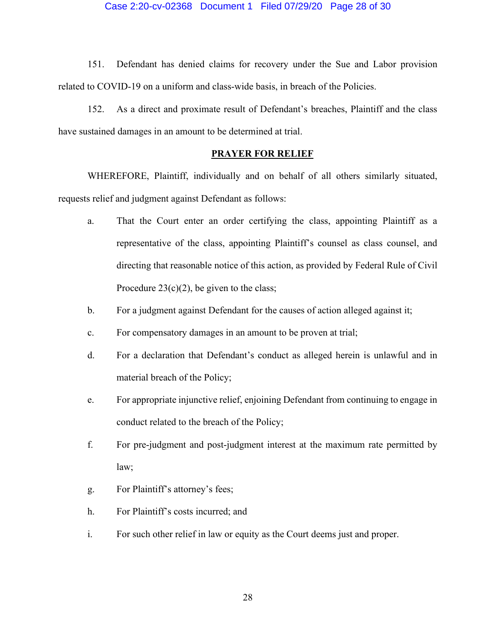## Case 2:20-cv-02368 Document 1 Filed 07/29/20 Page 28 of 30

151. Defendant has denied claims for recovery under the Sue and Labor provision related to COVID-19 on a uniform and class-wide basis, in breach of the Policies.

152. As a direct and proximate result of Defendant's breaches, Plaintiff and the class have sustained damages in an amount to be determined at trial.

# **PRAYER FOR RELIEF**

WHEREFORE, Plaintiff, individually and on behalf of all others similarly situated, requests relief and judgment against Defendant as follows:

- a. That the Court enter an order certifying the class, appointing Plaintiff as a representative of the class, appointing Plaintiff's counsel as class counsel, and directing that reasonable notice of this action, as provided by Federal Rule of Civil Procedure  $23(c)(2)$ , be given to the class;
- b. For a judgment against Defendant for the causes of action alleged against it;
- c. For compensatory damages in an amount to be proven at trial;
- d. For a declaration that Defendant's conduct as alleged herein is unlawful and in material breach of the Policy;
- e. For appropriate injunctive relief, enjoining Defendant from continuing to engage in conduct related to the breach of the Policy;
- f. For pre-judgment and post-judgment interest at the maximum rate permitted by law;
- g. For Plaintiff's attorney's fees;
- h. For Plaintiff's costs incurred; and
- i. For such other relief in law or equity as the Court deems just and proper.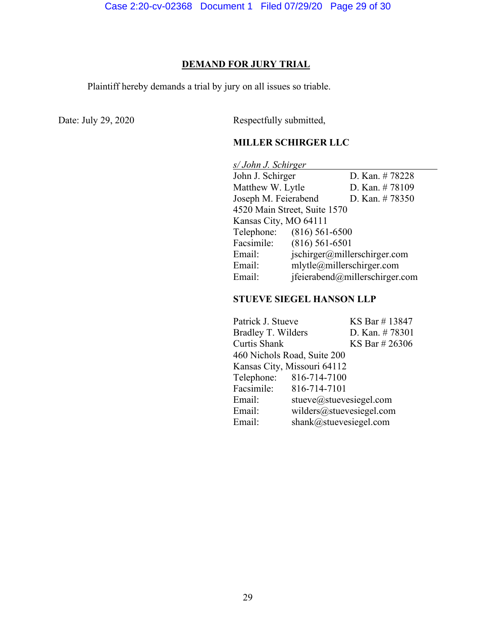## **DEMAND FOR JURY TRIAL**

Plaintiff hereby demands a trial by jury on all issues so triable.

Date: July 29, 2020 Respectfully submitted,

# **MILLER SCHIRGER LLC**

*s/ John J. Schirger* John J. Schirger D. Kan. # 78228 Matthew W. Lytle D. Kan. # 78109 Joseph M. Feierabend D. Kan. # 78350 4520 Main Street, Suite 1570 Kansas City, MO 64111 Telephone: (816) 561-6500 Facsimile: (816) 561-6501 Email: jschirger@millerschirger.com Email: mlytle@millerschirger.com Email: jfeierabend@millerschirger.com

# **STUEVE SIEGEL HANSON LLP**

| Patrick J. Stueve           |                          | KS Bar #13847  |  |  |
|-----------------------------|--------------------------|----------------|--|--|
| Bradley T. Wilders          |                          | D. Kan. #78301 |  |  |
| Curtis Shank                |                          | KS Bar # 26306 |  |  |
| 460 Nichols Road, Suite 200 |                          |                |  |  |
| Kansas City, Missouri 64112 |                          |                |  |  |
| Telephone:                  | 816-714-7100             |                |  |  |
| Facsimile:                  | 816-714-7101             |                |  |  |
| Email:                      | stueve@stuevesiegel.com  |                |  |  |
| Email:                      | wilders@stuevesiegel.com |                |  |  |
| Email:                      | shank@stuevesiegel.com   |                |  |  |
|                             |                          |                |  |  |